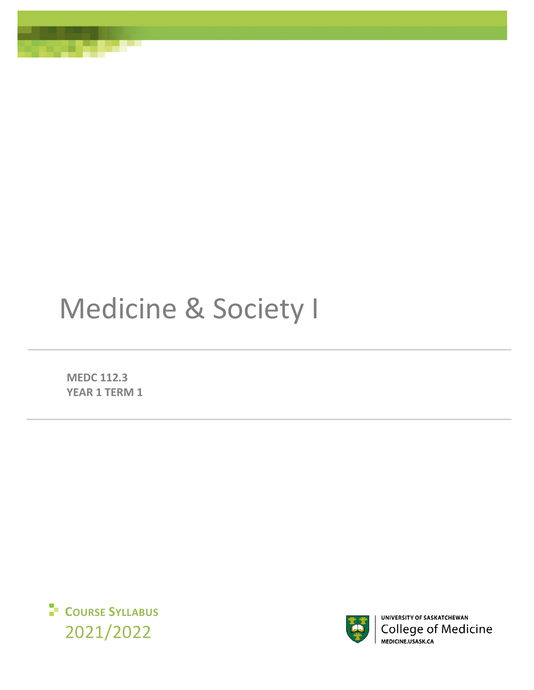# Medicine & Society I

**MEDC 112.3 YEAR 1 TERM 1** 





UNIVERSITY OF SASKATCHEWAN **College of Medicine** MEDICINE.USASK.CA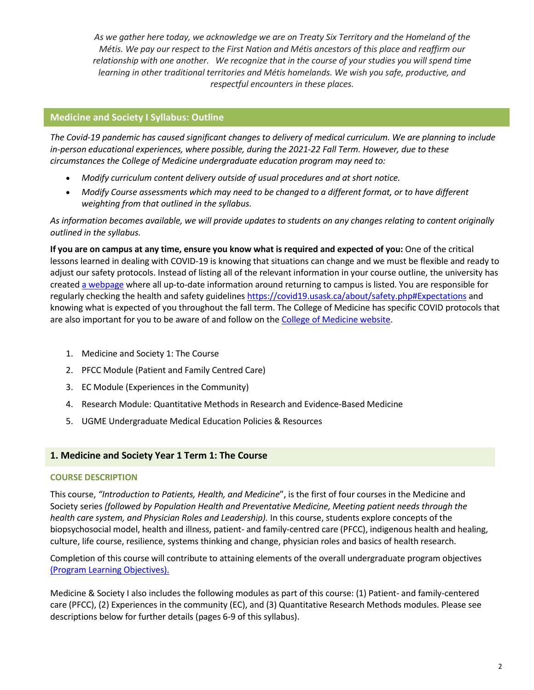*As we gather here today, we acknowledge we are on Treaty Six Territory and the Homeland of the Métis. We pay our respect to the First Nation and Métis ancestors of this place and reaffirm our relationship with one another. We recognize that in the course of your studies you will spend time learning in other traditional territories and Métis homelands. We wish you safe, productive, and respectful encounters in these places.*

# **Medicine and Society I Syllabus: Outline**

*The Covid-19 pandemic has caused significant changes to delivery of medical curriculum. We are planning to include in-person educational experiences, where possible, during the 2021-22 Fall Term. However, due to these circumstances the College of Medicine undergraduate education program may need to:* 

- *Modify curriculum content delivery outside of usual procedures and at short notice.*
- *Modify Course assessments which may need to be changed to a different format, or to have different weighting from that outlined in the syllabus.*

*As information becomes available, we will provide updates to students on any changes relating to content originally outlined in the syllabus.* 

**If you are on campus at any time, ensure you know what is required and expected of you:** One of the critical lessons learned in dealing with COVID-19 is knowing that situations can change and we must be flexible and ready to adjust our safety protocols. Instead of listing all of the relevant information in your course outline, the university has created [a webpage](https://covid19.usask.ca/students.php#Oncampusessentials) where all up-to-date information around returning to campus is listed. You are responsible for regularly checking the health and safety guideline[s https://covid19.usask.ca/about/safety.php#Expectations](https://covid19.usask.ca/about/safety.php#Expectations) and knowing what is expected of you throughout the fall term. The College of Medicine has specific COVID protocols that are also important for you to be aware of and follow on the [College of Medicine website.](https://medicine.usask.ca/students/covid19.php)

- 1. Medicine and Society 1: The Course
- 2. PFCC Module (Patient and Family Centred Care)
- 3. EC Module (Experiences in the Community)
- 4. Research Module: Quantitative Methods in Research and Evidence-Based Medicine
- 5. UGME Undergraduate Medical Education Policies & Resources

## **1. Medicine and Society Year 1 Term 1: The Course**

## **COURSE DESCRIPTION**

This course, *"Introduction to Patients, Health, and Medicine*", is the first of four courses in the Medicine and Society series *(followed by Population Health and Preventative Medicine, Meeting patient needs through the health care system, and Physician Roles and Leadership).* In this course, students explore concepts of the biopsychosocial model, health and illness, patient- and family-centred care (PFCC), indigenous health and healing, culture, life course, resilience, systems thinking and change, physician roles and basics of health research.

Completion of this course will contribute to attaining elements of the overall undergraduate program objectives [\(Program Learning Objectives\).](https://medicine.usask.ca/students/undergraduate/curriculum-schedules-objectives.php#ProgramLearningObjectives)

Medicine & Society I also includes the following modules as part of this course: (1) Patient- and family-centered care (PFCC), (2) Experiences in the community (EC), and (3) Quantitative Research Methods modules. Please see descriptions below for further details (pages 6-9 of this syllabus).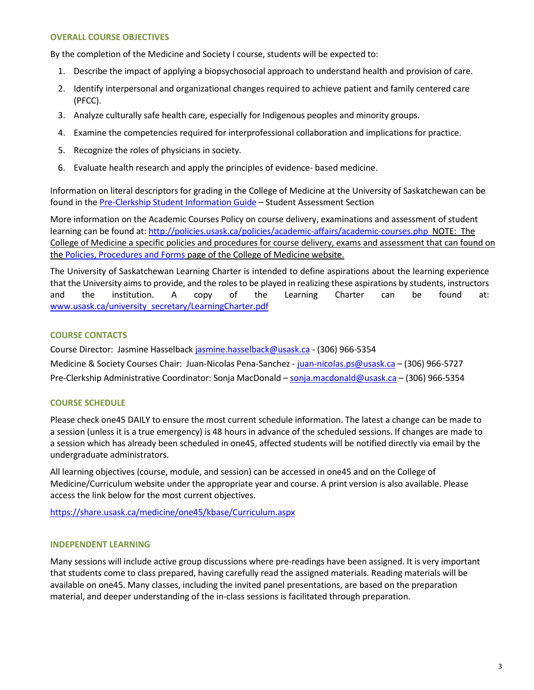## **OVERALL COURSE OBJECTIVES**

By the completion of the Medicine and Society I course, students will be expected to:

- 1. Describe the impact of applying a biopsychosocial approach to understand health and provision of care.
- 2. Identify interpersonal and organizational changes required to achieve patient and family centered care (PFCC).
- 3. Analyze culturally safe health care, especially for Indigenous peoples and minority groups.
- 4. Examine the competencies required for interprofessional collaboration and implications for practice.
- 5. Recognize the roles of physicians in society*.*
- 6. Evaluate health research and apply the principles of evidence- based medicine.

Information on literal descriptors for grading in the College of Medicine at the University of Saskatchewan can be found in the [Pre-Clerkship Student Information Guide](https://medicine.usask.ca/documents/ugme/syllabi/student-guide-to-pre-clerkship.pdf) – Student Assessment Section

More information on the Academic Courses Policy on course delivery, examinations and assessment of student learning can be found at[: http://policies.usask.ca/policies/academic-affairs/academic-courses.php](http://policies.usask.ca/policies/academic-affairs/academic-courses.php) NOTE: The College of Medicine a specific policies and procedures for course delivery, exams and assessment that can found on the [Policies, Procedures and Forms](https://medicine.usask.ca/students/undergraduate/policies.php) page of the College of Medicine website.

The University of Saskatchewan Learning Charter is intended to define aspirations about the learning experience that the University aims to provide, and the roles to be played in realizing these aspirations by students, instructors and the institution. A copy of the Learning Charter can be found at: [www.usask.ca/university\\_secretary/LearningCharter.pdf](http://www.usask.ca/university_secretary/LearningCharter.pdf)

## **COURSE CONTACTS**

Course Director: Jasmine Hasselback [jasmine.hasselback@usask.ca](mailto:jasmine.hasselback@usask.ca) - (306) 966-5354 Medicine & Society Courses Chair: Juan-Nicolas Pena-Sanchez - [juan-nicolas.ps@usask.ca –](mailto:juan-nicolas.ps@usask.ca) (306) 966-5727 Pre-Clerkship Administrative Coordinator: Sonja MacDonald [– sonja.macdonald@usask.ca](mailto:daniele.mcdonald@usask.ca) – (306) 966-5354

## **COURSE SCHEDULE**

Please check one45 DAILY to ensure the most current schedule information. The latest a change can be made to a session (unless it is a true emergency) is 48 hours in advance of the scheduled sessions. If changes are made to a session which has already been scheduled in one45, affected students will be notified directly via email by the undergraduate administrators.

All learning objectives (course, module, and session) can be accessed in one45 and on the College of Medicine/Curriculum website under the appropriate year and course. A print version is also available. Please access the link below for the most current objectives.

<https://share.usask.ca/medicine/one45/kbase/Curriculum.aspx>

#### **INDEPENDENT LEARNING**

Many sessions will include active group discussions where pre-readings have been assigned. It is very important that students come to class prepared, having carefully read the assigned materials. Reading materials will be available on one45. Many classes, including the invited panel presentations, are based on the preparation material, and deeper understanding of the in-class sessions is facilitated through preparation.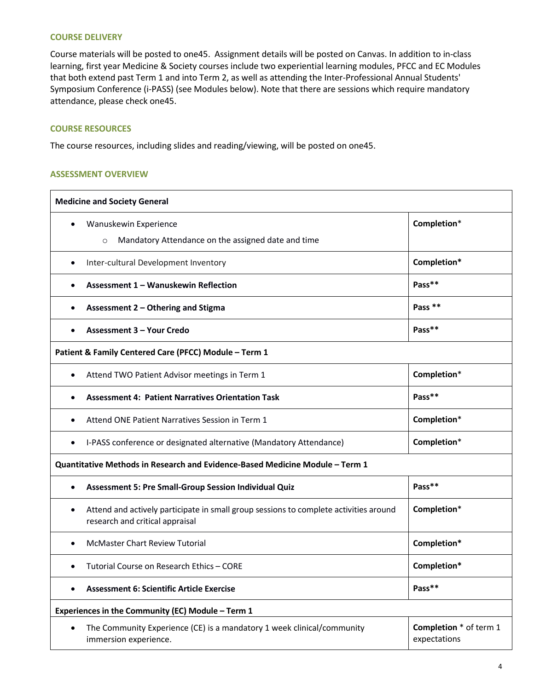#### **COURSE DELIVERY**

Course materials will be posted to one45. Assignment details will be posted on Canvas. In addition to in-class learning, first year Medicine & Society courses include two experiential learning modules, PFCC and EC Modules that both extend past Term 1 and into Term 2, as well as attending the Inter-Professional Annual Students' Symposium Conference (i-PASS) (see Modules below). Note that there are sessions which require mandatory attendance, please check one45.

## **COURSE RESOURCES**

The course resources, including slides and reading/viewing, will be posted on one45.

#### **ASSESSMENT OVERVIEW**

| <b>Medicine and Society General</b>                                                                                                   |                                               |
|---------------------------------------------------------------------------------------------------------------------------------------|-----------------------------------------------|
| Wanuskewin Experience<br>$\bullet$                                                                                                    | Completion*                                   |
| Mandatory Attendance on the assigned date and time<br>$\circ$                                                                         |                                               |
| Inter-cultural Development Inventory<br>$\bullet$                                                                                     | Completion*                                   |
| Assessment 1 - Wanuskewin Reflection                                                                                                  | Pass**                                        |
| Assessment 2 - Othering and Stigma<br>$\bullet$                                                                                       | Pass <sup>**</sup>                            |
| <b>Assessment 3 - Your Credo</b><br>$\bullet$                                                                                         | Pass**                                        |
| Patient & Family Centered Care (PFCC) Module - Term 1                                                                                 |                                               |
| Attend TWO Patient Advisor meetings in Term 1<br>$\bullet$                                                                            | Completion*                                   |
| <b>Assessment 4: Patient Narratives Orientation Task</b>                                                                              | Pass**                                        |
| Attend ONE Patient Narratives Session in Term 1                                                                                       | Completion*                                   |
| I-PASS conference or designated alternative (Mandatory Attendance)<br>$\bullet$                                                       | Completion*                                   |
| Quantitative Methods in Research and Evidence-Based Medicine Module - Term 1                                                          |                                               |
| Assessment 5: Pre Small-Group Session Individual Quiz<br>$\bullet$                                                                    | Pass**                                        |
| Attend and actively participate in small group sessions to complete activities around<br>$\bullet$<br>research and critical appraisal | Completion*                                   |
| <b>McMaster Chart Review Tutorial</b><br>$\bullet$                                                                                    | Completion*                                   |
| Tutorial Course on Research Ethics - CORE                                                                                             | Completion*                                   |
| <b>Assessment 6: Scientific Article Exercise</b>                                                                                      | Pass**                                        |
| Experiences in the Community (EC) Module - Term 1                                                                                     |                                               |
| The Community Experience (CE) is a mandatory 1 week clinical/community<br>immersion experience.                                       | <b>Completion</b> * of term 1<br>expectations |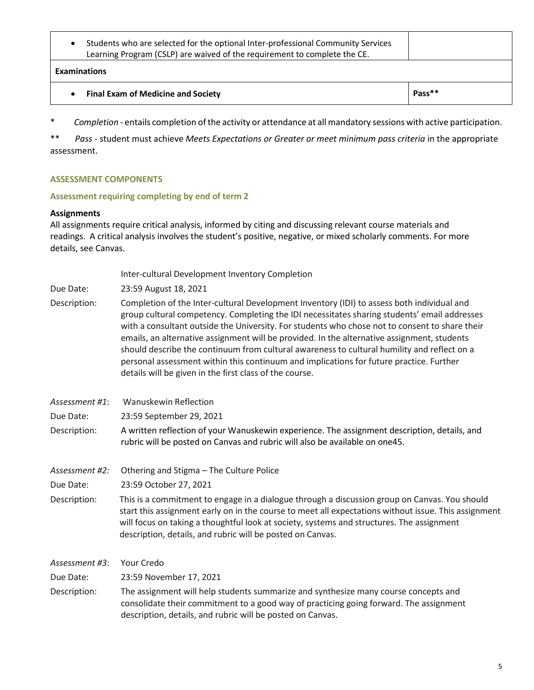Students who are selected for the optional Inter-professional Community Services Learning Program (CSLP) are waived of the requirement to complete the CE.

#### **Examinations**

|  | • Final Exam of Medicine and Society | Pass** |
|--|--------------------------------------|--------|
|--|--------------------------------------|--------|

\* *Completion -* entails completion of the activity or attendance at all mandatory sessions with active participation.

\*\* *Pass -* student must achieve *Meets Expectations or Greater or meet minimum pass criteria* in the appropriate assessment.

## **ASSESSMENT COMPONENTS**

#### **Assessment requiring completing by end of term 2**

#### **Assignments**

All assignments require critical analysis, informed by citing and discussing relevant course materials and readings. A critical analysis involves the student's positive, negative, or mixed scholarly comments. For more details, see Canvas.

|                | Inter-cultural Development Inventory Completion                                                                                                                                                                                                                                                                                                                                                                                                                                                                                                                                                                                                  |
|----------------|--------------------------------------------------------------------------------------------------------------------------------------------------------------------------------------------------------------------------------------------------------------------------------------------------------------------------------------------------------------------------------------------------------------------------------------------------------------------------------------------------------------------------------------------------------------------------------------------------------------------------------------------------|
| Due Date:      | 23:59 August 18, 2021                                                                                                                                                                                                                                                                                                                                                                                                                                                                                                                                                                                                                            |
| Description:   | Completion of the Inter-cultural Development Inventory (IDI) to assess both individual and<br>group cultural competency. Completing the IDI necessitates sharing students' email addresses<br>with a consultant outside the University. For students who chose not to consent to share their<br>emails, an alternative assignment will be provided. In the alternative assignment, students<br>should describe the continuum from cultural awareness to cultural humility and reflect on a<br>personal assessment within this continuum and implications for future practice. Further<br>details will be given in the first class of the course. |
| Assessment #1: | Wanuskewin Reflection                                                                                                                                                                                                                                                                                                                                                                                                                                                                                                                                                                                                                            |
| Due Date:      | 23:59 September 29, 2021                                                                                                                                                                                                                                                                                                                                                                                                                                                                                                                                                                                                                         |
| Description:   | A written reflection of your Wanuskewin experience. The assignment description, details, and<br>rubric will be posted on Canvas and rubric will also be available on one45.                                                                                                                                                                                                                                                                                                                                                                                                                                                                      |
| Assessment #2: | Othering and Stigma - The Culture Police                                                                                                                                                                                                                                                                                                                                                                                                                                                                                                                                                                                                         |
| Due Date:      | 23:59 October 27, 2021                                                                                                                                                                                                                                                                                                                                                                                                                                                                                                                                                                                                                           |
| Description:   | This is a commitment to engage in a dialogue through a discussion group on Canvas. You should<br>start this assignment early on in the course to meet all expectations without issue. This assignment<br>will focus on taking a thoughtful look at society, systems and structures. The assignment<br>description, details, and rubric will be posted on Canvas.                                                                                                                                                                                                                                                                                 |
| Assessment #3: | Your Credo                                                                                                                                                                                                                                                                                                                                                                                                                                                                                                                                                                                                                                       |
| Due Date:      | 23:59 November 17, 2021                                                                                                                                                                                                                                                                                                                                                                                                                                                                                                                                                                                                                          |
| Description:   | The assignment will help students summarize and synthesize many course concepts and<br>consolidate their commitment to a good way of practicing going forward. The assignment<br>description, details, and rubric will be posted on Canvas.                                                                                                                                                                                                                                                                                                                                                                                                      |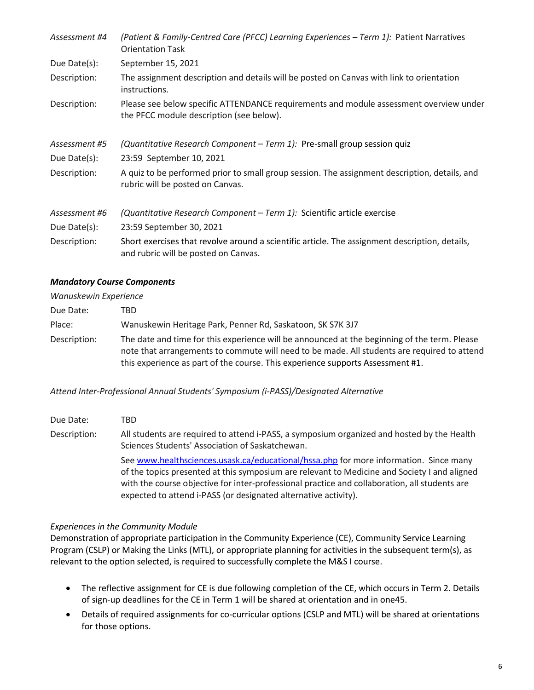| Assessment #4 | (Patient & Family-Centred Care (PFCC) Learning Experiences - Term 1): Patient Narratives<br><b>Orientation Task</b>                    |
|---------------|----------------------------------------------------------------------------------------------------------------------------------------|
| Due Date(s):  | September 15, 2021                                                                                                                     |
| Description:  | The assignment description and details will be posted on Canvas with link to orientation<br>instructions.                              |
| Description:  | Please see below specific ATTENDANCE requirements and module assessment overview under<br>the PFCC module description (see below).     |
| Assessment #5 | (Quantitative Research Component - Term 1): Pre-small group session quiz                                                               |
| Due Date(s):  | 23:59 September 10, 2021                                                                                                               |
| Description:  | A quiz to be performed prior to small group session. The assignment description, details, and<br>rubric will be posted on Canvas.      |
| Assessment #6 | (Quantitative Research Component – Term 1): Scientific article exercise                                                                |
| Due Date(s):  | 23:59 September 30, 2021                                                                                                               |
| Description:  | Short exercises that revolve around a scientific article. The assignment description, details,<br>and rubric will be posted on Canvas. |

## *Mandatory Course Components*

| Wanuskewin Experience |                                                                                                                                                                                                                                                                               |
|-----------------------|-------------------------------------------------------------------------------------------------------------------------------------------------------------------------------------------------------------------------------------------------------------------------------|
| Due Date:             | TBD.                                                                                                                                                                                                                                                                          |
| Place:                | Wanuskewin Heritage Park, Penner Rd, Saskatoon, SK S7K 3J7                                                                                                                                                                                                                    |
| Description:          | The date and time for this experience will be announced at the beginning of the term. Please<br>note that arrangements to commute will need to be made. All students are required to attend<br>this experience as part of the course. This experience supports Assessment #1. |

*Attend Inter-Professional Annual Students' Symposium (i-PASS)/Designated Alternative* 

| Due Date:    | TBD.                                                                                                                                                                                                                                                                                                                                                      |
|--------------|-----------------------------------------------------------------------------------------------------------------------------------------------------------------------------------------------------------------------------------------------------------------------------------------------------------------------------------------------------------|
| Description: | All students are required to attend i-PASS, a symposium organized and hosted by the Health<br>Sciences Students' Association of Saskatchewan.                                                                                                                                                                                                             |
|              | See www.healthsciences.usask.ca/educational/hssa.php for more information. Since many<br>of the topics presented at this symposium are relevant to Medicine and Society I and aligned<br>with the course objective for inter-professional practice and collaboration, all students are<br>expected to attend i-PASS (or designated alternative activity). |

## *Experiences in the Community Module*

Demonstration of appropriate participation in the Community Experience (CE), Community Service Learning Program (CSLP) or Making the Links (MTL), or appropriate planning for activities in the subsequent term(s), as relevant to the option selected, is required to successfully complete the M&S I course.

- The reflective assignment for CE is due following completion of the CE, which occurs in Term 2. Details of sign-up deadlines for the CE in Term 1 will be shared at orientation and in one45.
- Details of required assignments for co-curricular options (CSLP and MTL) will be shared at orientations for those options.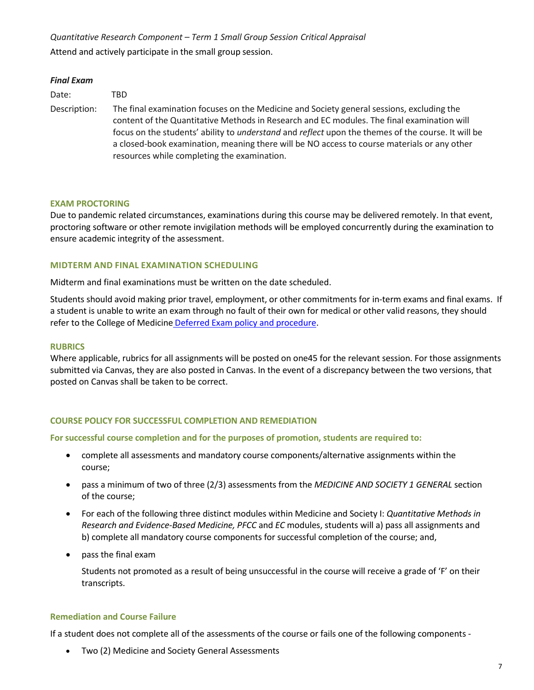*Quantitative Research Component – Term 1 Small Group Session Critical Appraisal*  Attend and actively participate in the small group session.

#### *Final Exam*

| Date:        | TBD.                                                                                                                                                                                                                                                                                                                                                                                                                                                      |
|--------------|-----------------------------------------------------------------------------------------------------------------------------------------------------------------------------------------------------------------------------------------------------------------------------------------------------------------------------------------------------------------------------------------------------------------------------------------------------------|
| Description: | The final examination focuses on the Medicine and Society general sessions, excluding the<br>content of the Quantitative Methods in Research and EC modules. The final examination will<br>focus on the students' ability to <i>understand</i> and <i>reflect</i> upon the themes of the course. It will be<br>a closed-book examination, meaning there will be NO access to course materials or any other<br>resources while completing the examination. |

#### **EXAM PROCTORING**

Due to pandemic related circumstances, examinations during this course may be delivered remotely. In that event, proctoring software or other remote invigilation methods will be employed concurrently during the examination to ensure academic integrity of the assessment.

## **MIDTERM AND FINAL EXAMINATION SCHEDULING**

Midterm and final examinations must be written on the date scheduled.

Students should avoid making prior travel, employment, or other commitments for in-term exams and final exams. If a student is unable to write an exam through no fault of their own for medical or other valid reasons, they should refer to the College of Medicine [Deferred Exam policy and procedure.](https://medicine.usask.ca/policies/deferred-exams.php)

#### **RUBRICS**

Where applicable, rubrics for all assignments will be posted on one45 for the relevant session. For those assignments submitted via Canvas, they are also posted in Canvas. In the event of a discrepancy between the two versions, that posted on Canvas shall be taken to be correct.

## **COURSE POLICY FOR SUCCESSFUL COMPLETION AND REMEDIATION**

**For successful course completion and for the purposes of promotion, students are required to:** 

- complete all assessments and mandatory course components/alternative assignments within the course;
- pass a minimum of two of three (2/3) assessments from the *MEDICINE AND SOCIETY 1 GENERAL* section of the course;
- For each of the following three distinct modules within Medicine and Society I: *Quantitative Methods in Research and Evidence-Based Medicine, PFCC* and *EC* modules, students will a) pass all assignments and b) complete all mandatory course components for successful completion of the course; and,
- pass the final exam

Students not promoted as a result of being unsuccessful in the course will receive a grade of 'F' on their transcripts.

#### **Remediation and Course Failure**

If a student does not complete all of the assessments of the course or fails one of the following components -

Two (2) Medicine and Society General Assessments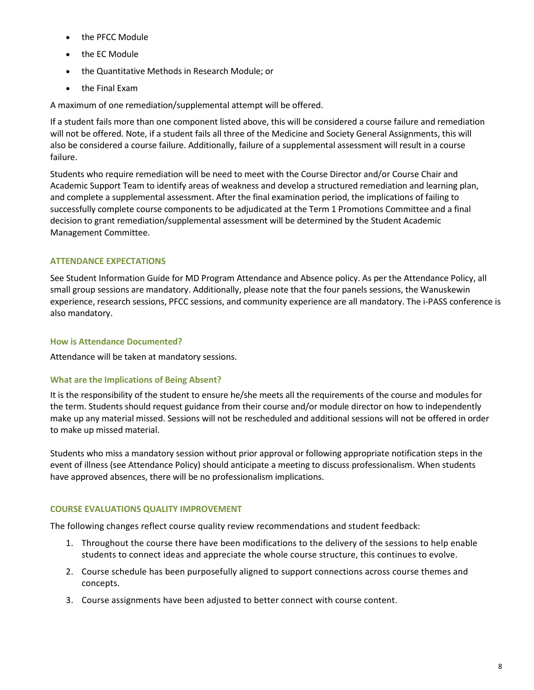- the PFCC Module
- the EC Module
- the Quantitative Methods in Research Module; or
- the Final Exam

A maximum of one remediation/supplemental attempt will be offered.

If a student fails more than one component listed above, this will be considered a course failure and remediation will not be offered. Note, if a student fails all three of the Medicine and Society General Assignments, this will also be considered a course failure. Additionally, failure of a supplemental assessment will result in a course failure.

Students who require remediation will be need to meet with the Course Director and/or Course Chair and Academic Support Team to identify areas of weakness and develop a structured remediation and learning plan, and complete a supplemental assessment. After the final examination period, the implications of failing to successfully complete course components to be adjudicated at the Term 1 Promotions Committee and a final decision to grant remediation/supplemental assessment will be determined by the Student Academic Management Committee.

# **ATTENDANCE EXPECTATIONS**

See Student Information Guide for MD Program Attendance and Absence policy. As per the Attendance Policy, all small group sessions are mandatory. Additionally, please note that the four panels sessions, the Wanuskewin experience, research sessions, PFCC sessions, and community experience are all mandatory. The i-PASS conference is also mandatory.

# **How is Attendance Documented?**

Attendance will be taken at mandatory sessions.

# **What are the Implications of Being Absent?**

It is the responsibility of the student to ensure he/she meets all the requirements of the course and modules for the term. Students should request guidance from their course and/or module director on how to independently make up any material missed. Sessions will not be rescheduled and additional sessions will not be offered in order to make up missed material.

Students who miss a mandatory session without prior approval or following appropriate notification steps in the event of illness (see Attendance Policy) should anticipate a meeting to discuss professionalism. When students have approved absences, there will be no professionalism implications.

# **COURSE EVALUATIONS QUALITY IMPROVEMENT**

The following changes reflect course quality review recommendations and student feedback:

- 1. Throughout the course there have been modifications to the delivery of the sessions to help enable students to connect ideas and appreciate the whole course structure, this continues to evolve.
- 2. Course schedule has been purposefully aligned to support connections across course themes and concepts.
- 3. Course assignments have been adjusted to better connect with course content.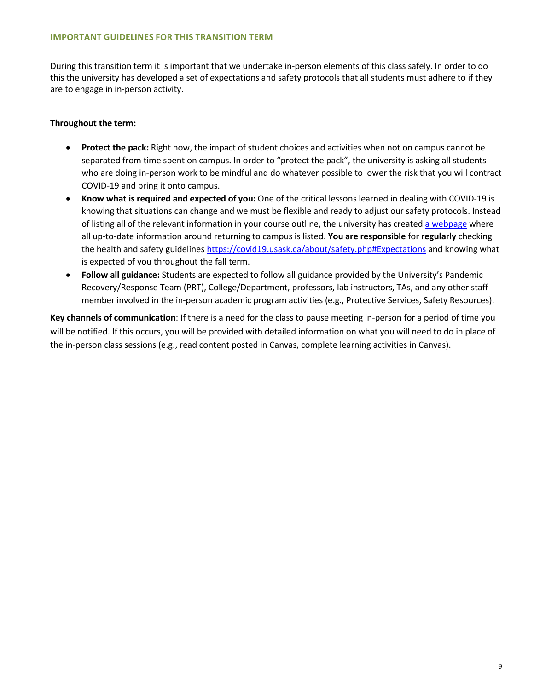#### **IMPORTANT GUIDELINES FOR THIS TRANSITION TERM**

During this transition term it is important that we undertake in-person elements of this class safely. In order to do this the university has developed a set of expectations and safety protocols that all students must adhere to if they are to engage in in-person activity.

## **Throughout the term:**

- **Protect the pack:** Right now, the impact of student choices and activities when not on campus cannot be separated from time spent on campus. In order to "protect the pack", the university is asking all students who are doing in-person work to be mindful and do whatever possible to lower the risk that you will contract COVID-19 and bring it onto campus.
- **Know what is required and expected of you:** One of the critical lessons learned in dealing with COVID-19 is knowing that situations can change and we must be flexible and ready to adjust our safety protocols. Instead of listing all of the relevant information in your course outline, the university has create[d a webpage](https://covid19.usask.ca/students.php#Oncampusessentials) where all up-to-date information around returning to campus is listed. **You are responsible** for **regularly** checking the health and safety guidelines<https://covid19.usask.ca/about/safety.php#Expectations>and knowing what is expected of you throughout the fall term.
- **Follow all guidance:** Students are expected to follow all guidance provided by the University's Pandemic Recovery/Response Team (PRT), College/Department, professors, lab instructors, TAs, and any other staff member involved in the in-person academic program activities (e.g., Protective Services, Safety Resources).

**Key channels of communication**: If there is a need for the class to pause meeting in-person for a period of time you will be notified. If this occurs, you will be provided with detailed information on what you will need to do in place of the in-person class sessions (e.g., read content posted in Canvas, complete learning activities in Canvas).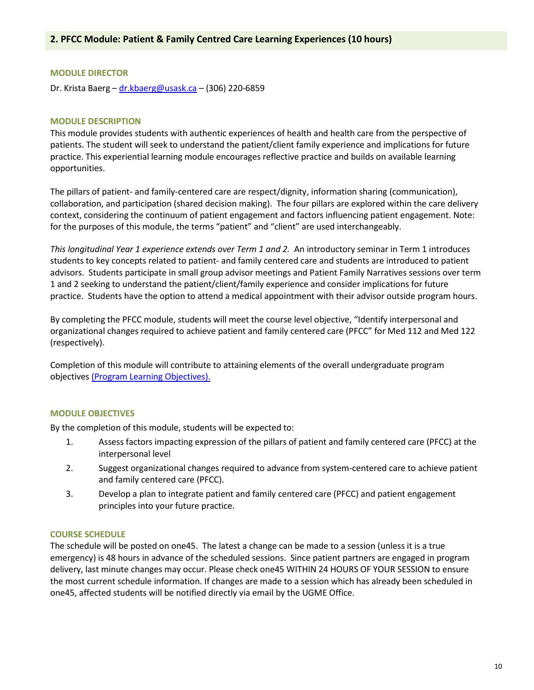## **MODULE DIRECTOR**

Dr. Krista Baerg – dr.kbaerg@usask.ca – (306) 220-6859

## **MODULE DESCRIPTION**

This module provides students with authentic experiences of health and health care from the perspective of patients. The student will seek to understand the patient/client family experience and implications for future practice. This experiential learning module encourages reflective practice and builds on available learning opportunities.

The pillars of patient- and family-centered care are respect/dignity, information sharing (communication), collaboration, and participation (shared decision making). The four pillars are explored within the care delivery context, considering the continuum of patient engagement and factors influencing patient engagement. Note: for the purposes of this module, the terms "patient" and "client" are used interchangeably.

*This longitudinal Year 1 experience extends over Term 1 and 2.* An introductory seminar in Term 1 introduces students to key concepts related to patient- and family centered care and students are introduced to patient advisors. Students participate in small group advisor meetings and Patient Family Narratives sessions over term 1 and 2 seeking to understand the patient/client/family experience and consider implications for future practice. Students have the option to attend a medical appointment with their advisor outside program hours.

By completing the PFCC module, students will meet the course level objective, "Identify interpersonal and organizational changes required to achieve patient and family centered care (PFCC" for Med 112 and Med 122 (respectively).

Completion of this module will contribute to attaining elements of the overall undergraduate program objectives [\(Program Learning Objectives\).](https://medicine.usask.ca/students/undergraduate/curriculum-schedules-objectives.php#ProgramLearningObjectives) 

## **MODULE OBJECTIVES**

By the completion of this module, students will be expected to:

- 1. Assess factors impacting expression of the pillars of patient and family centered care (PFCC) at the interpersonal level
- 2. Suggest organizational changes required to advance from system-centered care to achieve patient and family centered care (PFCC).
- 3. Develop a plan to integrate patient and family centered care (PFCC) and patient engagement principles into your future practice.

#### **COURSE SCHEDULE**

The schedule will be posted on one45. The latest a change can be made to a session (unless it is a true emergency) is 48 hours in advance of the scheduled sessions. Since patient partners are engaged in program delivery, last minute changes may occur. Please check one45 WITHIN 24 HOURS OF YOUR SESSION to ensure the most current schedule information. If changes are made to a session which has already been scheduled in one45, affected students will be notified directly via email by the UGME Office.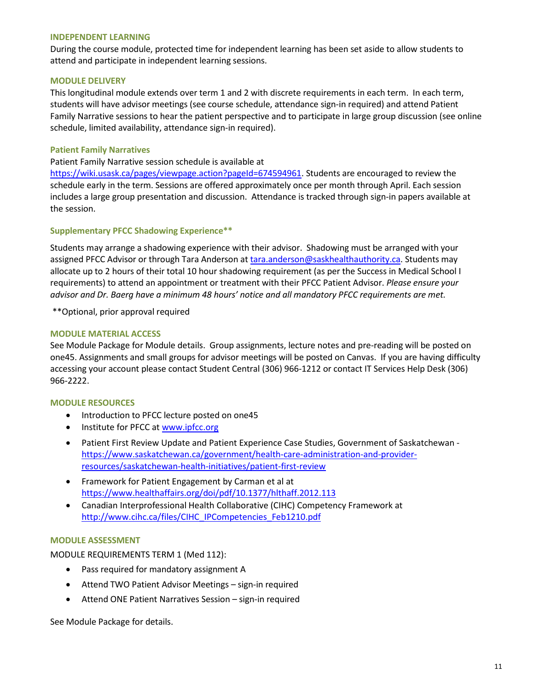#### **INDEPENDENT LEARNING**

During the course module, protected time for independent learning has been set aside to allow students to attend and participate in independent learning sessions.

## **MODULE DELIVERY**

This longitudinal module extends over term 1 and 2 with discrete requirements in each term. In each term, students will have advisor meetings (see course schedule, attendance sign-in required) and attend Patient Family Narrative sessions to hear the patient perspective and to participate in large group discussion (see online schedule, limited availability, attendance sign-in required).

#### **Patient Family Narratives**

Patient Family Narrative session schedule is available at

[https://wiki.usask.ca/pages/viewpage.action?pageId=674594961.](https://wiki.usask.ca/pages/viewpage.action?pageId=674594961) Students are encouraged to review the schedule early in the term. Sessions are offered approximately once per month through April. Each session includes a large group presentation and discussion. Attendance is tracked through sign-in papers available at the session.

#### **Supplementary PFCC Shadowing Experience\*\***

Students may arrange a shadowing experience with their advisor. Shadowing must be arranged with your assigned PFCC Advisor or through Tara Anderson at [tara.anderson@saskhealthauthority.ca.](mailto:tara.anderson@saskhealthauthority.ca) Students may allocate up to 2 hours of their total 10 hour shadowing requirement (as per the Success in Medical School I requirements) to attend an appointment or treatment with their PFCC Patient Advisor. *Please ensure your advisor and Dr. Baerg have a minimum 48 hours' notice and all mandatory PFCC requirements are met.*

\*\*Optional, prior approval required

#### **MODULE MATERIAL ACCESS**

See Module Package for Module details. Group assignments, lecture notes and pre-reading will be posted on one45. Assignments and small groups for advisor meetings will be posted on Canvas. If you are having difficulty accessing your account please contact Student Central (306) 966-1212 or contact IT Services Help Desk (306) 966-2222.

#### **MODULE RESOURCES**

- Introduction to PFCC lecture posted on one45
- Institute for PFCC at www.ipfcc.org
- Patient First Review Update and Patient Experience Case Studies, Government of Saskatchewan [https://www.saskatchewan.ca/government/health-care-administration-and-provider](https://www.saskatchewan.ca/government/health-care-administration-and-provider-resources/saskatchewan-health-initiatives/patient-first-review)[resources/saskatchewan-health-initiatives/patient-first-review](https://www.saskatchewan.ca/government/health-care-administration-and-provider-resources/saskatchewan-health-initiatives/patient-first-review)
- Framework for Patient Engagement by Carman et al at <https://www.healthaffairs.org/doi/pdf/10.1377/hlthaff.2012.113>
- Canadian Interprofessional Health Collaborative (CIHC) Competency Framework at [http://www.cihc.ca/files/CIHC\\_IPCompetencies\\_Feb1210.pdf](http://www.cihc.ca/files/CIHC_IPCompetencies_Feb1210.pdf)

#### **MODULE ASSESSMENT**

MODULE REQUIREMENTS TERM 1 (Med 112):

- Pass required for mandatory assignment A
- Attend TWO Patient Advisor Meetings sign-in required
- Attend ONE Patient Narratives Session sign-in required

See Module Package for details.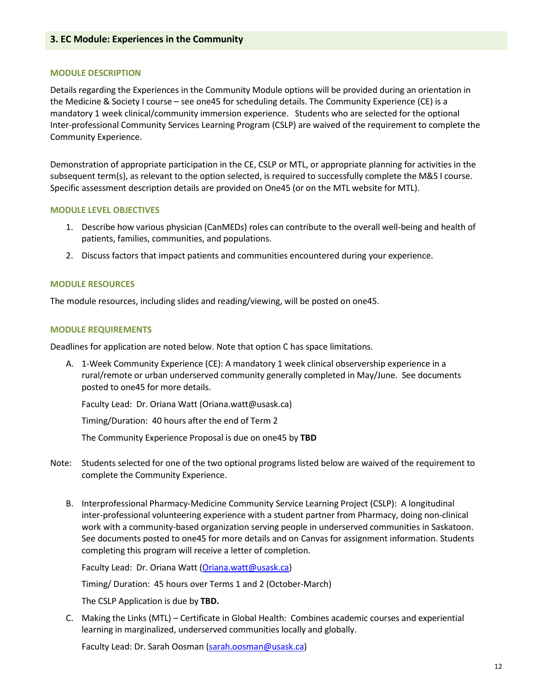## **3. EC Module: Experiences in the Community**

#### **MODULE DESCRIPTION**

Details regarding the Experiences in the Community Module options will be provided during an orientation in the Medicine & Society I course – see one45 for scheduling details. The Community Experience (CE) is a mandatory 1 week clinical/community immersion experience. Students who are selected for the optional Inter-professional Community Services Learning Program (CSLP) are waived of the requirement to complete the Community Experience.

Demonstration of appropriate participation in the CE, CSLP or MTL, or appropriate planning for activities in the subsequent term(s), as relevant to the option selected, is required to successfully complete the M&S I course. Specific assessment description details are provided on One45 (or on the MTL website for MTL).

#### **MODULE LEVEL OBJECTIVES**

- 1. Describe how various physician (CanMEDs) roles can contribute to the overall well-being and health of patients, families, communities, and populations.
- 2. Discuss factors that impact patients and communities encountered during your experience.

#### **MODULE RESOURCES**

The module resources, including slides and reading/viewing, will be posted on one45.

#### **MODULE REQUIREMENTS**

Deadlines for application are noted below. Note that option C has space limitations.

A. 1-Week Community Experience (CE): A mandatory 1 week clinical observership experience in a rural/remote or urban underserved community generally completed in May/June. See documents posted to one45 for more details.

Faculty Lead: [Dr.](mailto:Dr) Oriana Watt (Oriana.watt@usask.ca)

Timing/Duration: 40 hours after the end of Term 2

The Community Experience Proposal is due on one45 by **TBD**

- Note: Students selected for one of the two optional programs listed below are waived of the requirement to complete the Community Experience.
	- B. Interprofessional Pharmacy-Medicine Community Service Learning Project (CSLP): A longitudinal inter-professional volunteering experience with a student partner from Pharmacy, doing non-clinical work with a community-based organization serving people in underserved communities in Saskatoon. See documents posted to one45 for more details and on Canvas for assignment information. Students completing this program will receive a letter of completion.

Faculty Lead: [Dr.](mailto:Dr) Oriana Watt [\(Oriana.watt@usask.ca\)](mailto:Oriana.watt@usask.ca)

Timing/ Duration: 45 hours over Terms 1 and 2 (October-March)

The CSLP Application is due by **TBD.**

C. Making the Links (MTL) – Certificate in Global Health: Combines academic courses and experiential learning in marginalized, underserved communities locally and globally.

Faculty Lead: Dr. Sarah Oosman [\(sarah.oosman@usask.ca\)](mailto:sarah.oosman@usask.ca)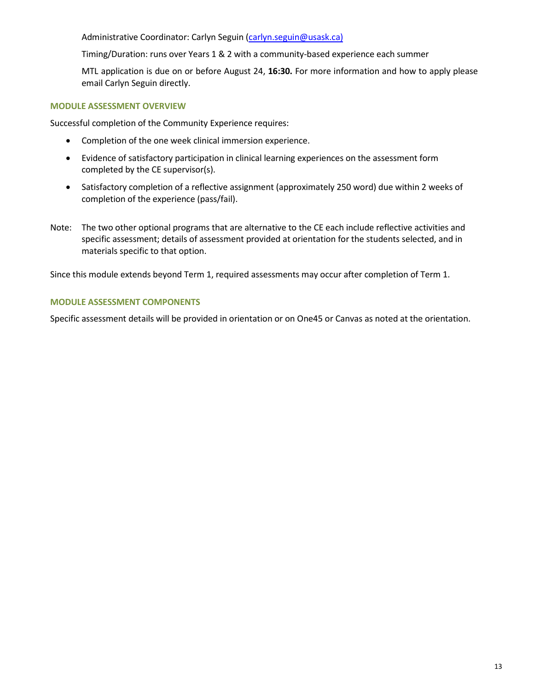Administrative Coordinator: Carlyn Seguin [\(carlyn.seguin@usask.ca\)](mailto:carlyn.seguin@usask.ca))

Timing/Duration: runs over Years 1 & 2 with a community-based experience each summer

MTL application is due on or before August 24, **16:30.** For more information and how to apply please email Carlyn Seguin directly.

## **MODULE ASSESSMENT OVERVIEW**

Successful completion of the Community Experience requires:

- Completion of the one week clinical immersion experience.
- Evidence of satisfactory participation in clinical learning experiences on the assessment form completed by the CE supervisor(s).
- Satisfactory completion of a reflective assignment (approximately 250 word) due within 2 weeks of completion of the experience (pass/fail).
- Note: The two other optional programs that are alternative to the CE each include reflective activities and specific assessment; details of assessment provided at orientation for the students selected, and in materials specific to that option.

Since this module extends beyond Term 1, required assessments may occur after completion of Term 1.

## **MODULE ASSESSMENT COMPONENTS**

Specific assessment details will be provided in orientation or on One45 or Canvas as noted at the orientation.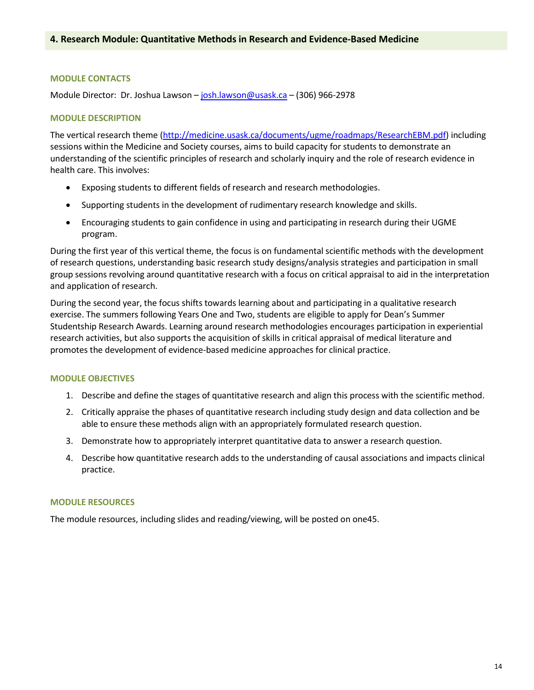## **MODULE CONTACTS**

Module Director: Dr. Joshua Lawson – [josh.lawson@usask.ca –](mailto:josh.lawson@usask.ca) (306) 966-2978

## **MODULE DESCRIPTION**

The vertical research theme [\(http://medicine.usask.ca/documents/ugme/roadmaps/ResearchEBM.pdf\)](http://medicine.usask.ca/documents/ugme/roadmaps/ResearchEBM.pdf) including sessions within the Medicine and Society courses, aims to build capacity for students to demonstrate an understanding of the scientific principles of research and scholarly inquiry and the role of research evidence in health care. This involves:

- Exposing students to different fields of research and research methodologies.
- Supporting students in the development of rudimentary research knowledge and skills.
- Encouraging students to gain confidence in using and participating in research during their UGME program.

During the first year of this vertical theme, the focus is on fundamental scientific methods with the development of research questions, understanding basic research study designs/analysis strategies and participation in small group sessions revolving around quantitative research with a focus on critical appraisal to aid in the interpretation and application of research.

During the second year, the focus shifts towards learning about and participating in a qualitative research exercise. The summers following Years One and Two, students are eligible to apply for Dean's Summer Studentship Research Awards. Learning around research methodologies encourages participation in experiential research activities, but also supports the acquisition of skills in critical appraisal of medical literature and promotes the development of evidence-based medicine approaches for clinical practice.

## **MODULE OBJECTIVES**

- 1. Describe and define the stages of quantitative research and align this process with the scientific method.
- 2. Critically appraise the phases of quantitative research including study design and data collection and be able to ensure these methods align with an appropriately formulated research question.
- 3. Demonstrate how to appropriately interpret quantitative data to answer a research question.
- 4. Describe how quantitative research adds to the understanding of causal associations and impacts clinical practice.

## **MODULE RESOURCES**

The module resources, including slides and reading/viewing, will be posted on one45.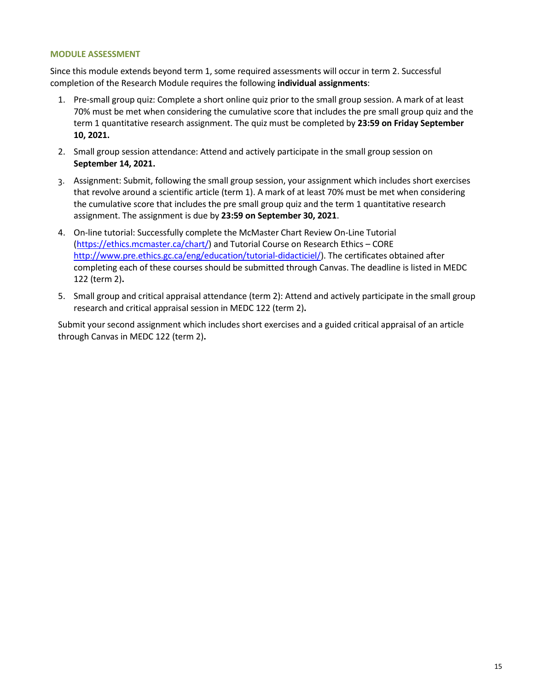#### **MODULE ASSESSMENT**

Since this module extends beyond term 1, some required assessments will occur in term 2. Successful completion of the Research Module requires the following **individual assignments**:

- 1. Pre-small group quiz: Complete a short online quiz prior to the small group session. A mark of at least 70% must be met when considering the cumulative score that includes the pre small group quiz and the term 1 quantitative research assignment. The quiz must be completed by **23:59 on Friday September 10, 2021.**
- 2. Small group session attendance: Attend and actively participate in the small group session on **September 14, 2021.**
- 3. Assignment: Submit, following the small group session, your assignment which includes short exercises that revolve around a scientific article (term 1). A mark of at least 70% must be met when considering the cumulative score that includes the pre small group quiz and the term 1 quantitative research assignment. The assignment is due by **23:59 on September 30, 2021**.
- 4. On-line tutorial: Successfully complete the McMaster Chart Review On-Line Tutorial [\(https://ethics.mcmaster.ca/chart/\)](https://ethics.mcmaster.ca/chart/) and Tutorial Course on Research Ethics – CORE [http://www.pre.ethics.gc.ca/eng/education/tutorial-didacticiel/\)](http://www.pre.ethics.gc.ca/eng/education/tutorial-didacticiel/). The certificates obtained after completing each of these courses should be submitted through Canvas. The deadline is listed in MEDC 122 (term 2)**.**
- 5. Small group and critical appraisal attendance (term 2): Attend and actively participate in the small group research and critical appraisal session in MEDC 122 (term 2)**.**

Submit your second assignment which includes short exercises and a guided critical appraisal of an article through Canvas in MEDC 122 (term 2)**.**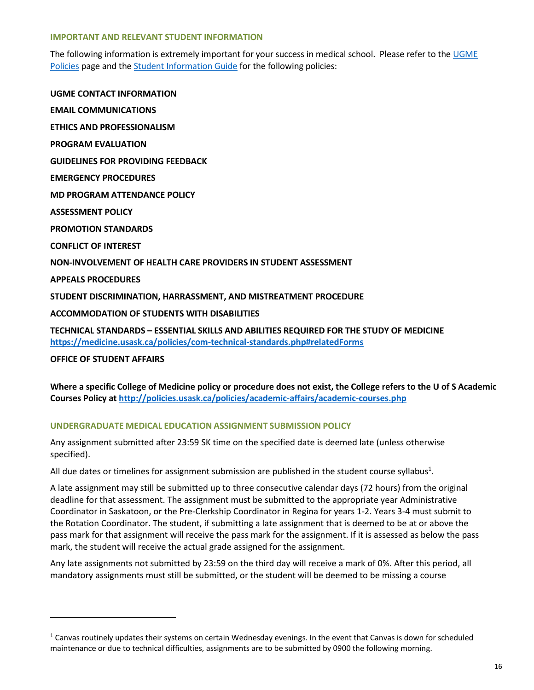#### **IMPORTANT AND RELEVANT STUDENT INFORMATION**

The following information is extremely important for your success in medical school. Please refer to th[e UGME](http://medicine.usask.ca/students/undergraduate/policies.php)  [Policies](http://medicine.usask.ca/students/undergraduate/policies.php) page and th[e Student Information Guide](http://medicine.usask.ca/students/undergraduate/curriculum-schedules-objectives.php#Aboriginalhealthinthecurriculum) for the following policies:

**UGME CONTACT INFORMATION EMAIL COMMUNICATIONS ETHICS AND PROFESSIONALISM PROGRAM EVALUATION GUIDELINES FOR PROVIDING FEEDBACK\ EMERGENCY PROCEDURES MD PROGRAM ATTENDANCE POLICY ASSESSMENT POLICY PROMOTION STANDARDS CONFLICT OF INTEREST NON-INVOLVEMENT OF HEALTH CARE PROVIDERS IN STUDENT ASSESSMENT APPEALS PROCEDURES STUDENT DISCRIMINATION, HARRASSMENT, AND MISTREATMENT PROCEDURE ACCOMMODATION OF STUDENTS WITH DISABILITIES TECHNICAL STANDARDS – ESSENTIAL SKILLS AND ABILITIES REQUIRED FOR THE STUDY OF MEDICINE <https://medicine.usask.ca/policies/com-technical-standards.php#relatedForms>**

**OFFICE OF STUDENT AFFAIRS** 

**Where a specific College of Medicine policy or procedure does not exist, the College refers to the U of S Academic Courses Policy at<http://policies.usask.ca/policies/academic-affairs/academic-courses.php>**

## **UNDERGRADUATE MEDICAL EDUCATION ASSIGNMENT SUBMISSION POLICY**

Any assignment submitted after 23:59 SK time on the specified date is deemed late (unless otherwise specified).

All due dates or timelines for assignment submission are published in the student course syllabus<sup>1</sup>.

A late assignment may still be submitted up to three consecutive calendar days (72 hours) from the original deadline for that assessment. The assignment must be submitted to the appropriate year Administrative Coordinator in Saskatoon, or the Pre-Clerkship Coordinator in Regina for years 1-2. Years 3-4 must submit to the Rotation Coordinator. The student, if submitting a late assignment that is deemed to be at or above the pass mark for that assignment will receive the pass mark for the assignment. If it is assessed as below the pass mark, the student will receive the actual grade assigned for the assignment.

Any late assignments not submitted by 23:59 on the third day will receive a mark of 0%. After this period, all mandatory assignments must still be submitted, or the student will be deemed to be missing a course

 $1$  Canvas routinely updates their systems on certain Wednesday evenings. In the event that Canvas is down for scheduled maintenance or due to technical difficulties, assignments are to be submitted by 0900 the following morning.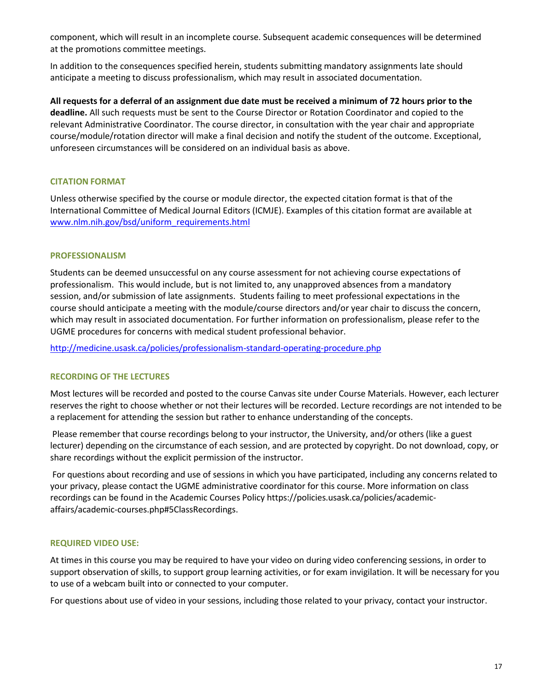component, which will result in an incomplete course. Subsequent academic consequences will be determined at the promotions committee meetings.

In addition to the consequences specified herein, students submitting mandatory assignments late should anticipate a meeting to discuss professionalism, which may result in associated documentation.

**All requests for a deferral of an assignment due date must be received a minimum of 72 hours prior to the deadline.** All such requests must be sent to the Course Director or Rotation Coordinator and copied to the relevant Administrative Coordinator. The course director, in consultation with the year chair and appropriate course/module/rotation director will make a final decision and notify the student of the outcome. Exceptional, unforeseen circumstances will be considered on an individual basis as above.

# **CITATION FORMAT**

Unless otherwise specified by the course or module director, the expected citation format is that of the International Committee of Medical Journal Editors (ICMJE). Examples of this citation format are available at [www.nlm.nih.gov/bsd/uniform\\_requirements.html](http://www.nlm.nih.gov/bsd/uniform_requirements.html)

## **PROFESSIONALISM**

Students can be deemed unsuccessful on any course assessment for not achieving course expectations of professionalism. This would include, but is not limited to, any unapproved absences from a mandatory session, and/or submission of late assignments. Students failing to meet professional expectations in the course should anticipate a meeting with the module/course directors and/or year chair to discuss the concern, which may result in associated documentation. For further information on professionalism, please refer to the UGME procedures for concerns with medical student professional behavior.

<http://medicine.usask.ca/policies/professionalism-standard-operating-procedure.php>

# **RECORDING OF THE LECTURES**

Most lectures will be recorded and posted to the course Canvas site under Course Materials. However, each lecturer reserves the right to choose whether or not their lectures will be recorded. Lecture recordings are not intended to be a replacement for attending the session but rather to enhance understanding of the concepts.

 Please remember that course recordings belong to your instructor, the University, and/or others (like a guest lecturer) depending on the circumstance of each session, and are protected by copyright. Do not download, copy, or share recordings without the explicit permission of the instructor.

 For questions about recording and use of sessions in which you have participated, including any concerns related to your privacy, please contact the UGME administrative coordinator for this course. More information on class recordings can be found in the Academic Courses Policy [https://policies.usask.ca/policies/academic](https://policies.usask.ca/policies/academic-affairs/academic-courses.php#5ClassRecordings)[affairs/academic-courses.php#5ClassRecordings.](https://policies.usask.ca/policies/academic-affairs/academic-courses.php#5ClassRecordings)

## **REQUIRED VIDEO USE:**

At times in this course you may be required to have your video on during video conferencing sessions, in order to support observation of skills, to support group learning activities, or for exam invigilation. It will be necessary for you to use of a webcam built into or connected to your computer.

For questions about use of video in your sessions, including those related to your privacy, contact your instructor.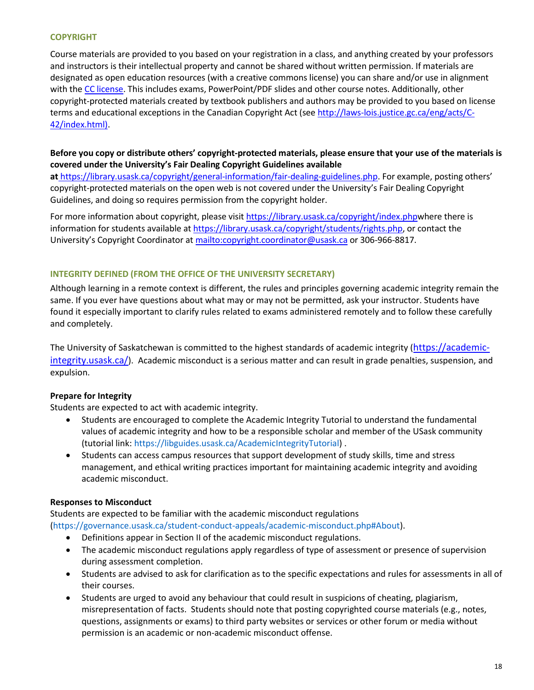## **COPYRIGHT**

Course materials are provided to you based on your registration in a class, and anything created by your professors and instructors is their intellectual property and cannot be shared without written permission. If materials are designated as open education resources (with a creative commons license) you can share and/or use in alignment with the [CC license.](https://openpress.usask.ca/authoring/chapter/creative-commons-licenses/) This includes exams, PowerPoint/PDF slides and other course notes. Additionally, other copyright-protected materials created by textbook publishers and authors may be provided to you based on license terms and educational exceptions in the Canadian Copyright Act (see [http://laws-lois.justice.gc.ca/eng/acts/C-](http://laws-lois.justice.gc.ca/eng/acts/C-42/index.html)[42/index.html\).](http://laws-lois.justice.gc.ca/eng/acts/C-42/index.html)

# **Before you copy or distribute others' copyright-protected materials, please ensure that your use of the materials is covered under the University's Fair Dealing Copyright Guidelines available**

**at** [https://library.usask.ca/copyright/general-information/fair-dealing-guidelines.php.](https://library.usask.ca/copyright/general-information/fair-dealing-guidelines.php) For example, posting others' copyright-protected materials on the open web is not covered under the University's Fair Dealing Copyright Guidelines, and doing so requires permission from the copyright holder.

For more information about copyright, please visit [https://library.usask.ca/copyright/index.phpw](https://library.usask.ca/copyright/index.php)here there is information for students available a[t https://library.usask.ca/copyright/students/rights.php,](https://library.usask.ca/copyright/students/rights.php) or contact the University's Copyright Coordinator at<mailto:copyright.coordinator@usask.ca>or 306-966-8817.

## **INTEGRITY DEFINED (FROM THE OFFICE OF THE UNIVERSITY SECRETARY)**

Although learning in a remote context is different, the rules and principles governing academic integrity remain the same. If you ever have questions about what may or may not be permitted, ask your instructor. Students have found it especially important to clarify rules related to exams administered remotely and to follow these carefully and completely.

The University of Saskatchewan is committed to the highest standards of academic integrity ([https://academic](https://academic-integrity.usask.ca/)[integrity.usask.ca/](https://academic-integrity.usask.ca/)). Academic misconduct is a serious matter and can result in grade penalties, suspension, and expulsion.

# **Prepare for Integrity**

Students are expected to act with academic integrity.

- Students are encouraged to complete the Academic Integrity Tutorial to understand the fundamental values of academic integrity and how to be a responsible scholar and member of the USask community (tutorial link: [https://libguides.usask.ca/AcademicIntegrityTutorial\)](https://libguides.usask.ca/AcademicIntegrityTutorial) .
- Students can access campus resources that support development of study skills, time and stress management, and ethical writing practices important for maintaining academic integrity and avoiding academic misconduct.

# **Responses to Misconduct**

Students are expected to be familiar with the academic misconduct regulations [\(https://governance.usask.ca/student-conduct-appeals/academic-misconduct.php#About\)](https://governance.usask.ca/student-conduct-appeals/academic-misconduct.php#About).

- Definitions appear in Section II of the academic misconduct regulations.
- The academic misconduct regulations apply regardless of type of assessment or presence of supervision during assessment completion.
- Students are advised to ask for clarification as to the specific expectations and rules for assessments in all of their courses.
- Students are urged to avoid any behaviour that could result in suspicions of cheating, plagiarism, misrepresentation of facts. Students should note that posting copyrighted course materials (e.g., notes, questions, assignments or exams) to third party websites or services or other forum or media without permission is an academic or non-academic misconduct offense.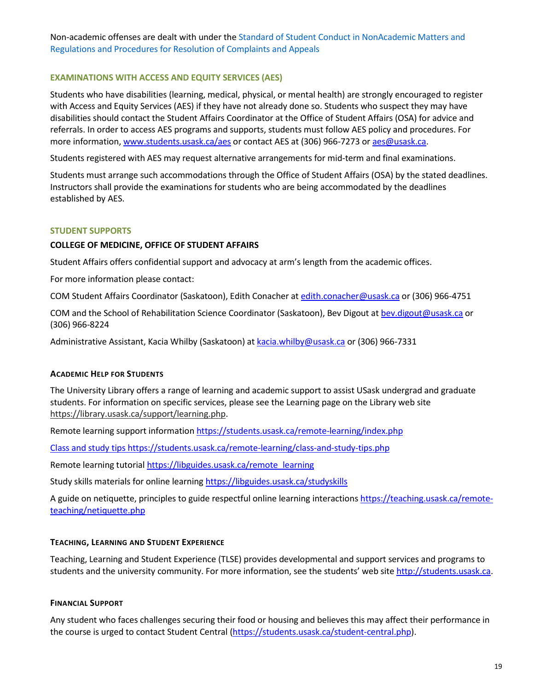Non-academic offenses are dealt with under th[e Standard of Student Conduct in NonAcademic Matters and](https://governance.usask.ca/student-conduct-appeals/non-academic-misconduct.php)  [Regulations and Procedures for Resolution of Complaints and Appeals](https://governance.usask.ca/student-conduct-appeals/non-academic-misconduct.php)

## **EXAMINATIONS WITH ACCESS AND EQUITY SERVICES (AES)**

Students who have disabilities (learning, medical, physical, or mental health) are strongly encouraged to register with Access and Equity Services (AES) if they have not already done so. Students who suspect they may have disabilities should contact the Student Affairs Coordinator at the Office of Student Affairs (OSA) for advice and referrals. In order to access AES programs and supports, students must follow AES policy and procedures. For more information[, www.students.usask.ca/aes](http://www.students.usask.ca/aes) or contact AES at (306) 966-7273 or [aes@usask.ca.](mailto:aes@usask.ca)

Students registered with AES may request alternative arrangements for mid-term and final examinations.

Students must arrange such accommodations through the Office of Student Affairs (OSA) by the stated deadlines. Instructors shall provide the examinations for students who are being accommodated by the deadlines established by AES.

## **STUDENT SUPPORTS**

## **COLLEGE OF MEDICINE, OFFICE OF STUDENT AFFAIRS**

Student Affairs offers confidential support and advocacy at arm's length from the academic offices.

For more information please contact:

COM Student Affairs Coordinator (Saskatoon), Edith Conacher at [edith.conacher@usask.ca o](mailto:edith.conacher@usask.ca)r (306) 966-4751

COM and the School of Rehabilitation Science Coordinator (Saskatoon), Bev Digout at [bev.digout@usask.ca](mailto:bev.digout@usask.ca) or (306) 966-8224

Administrative Assistant, Kacia Whilby (Saskatoon) a[t kacia.whilby@usask.ca](mailto:chelsea.malkowich@usask.ca) or (306) 966-7331

## **ACADEMIC HELP FOR STUDENTS**

The University Library offers a range of learning and academic support to assist USask undergrad and graduate students. For information on specific services, please see the Learning page on the Library web site [https://library.usask.ca/support/learning.php.](https://library.usask.ca/support/learning.php)

Remote learning support informatio[n https://students.usask.ca/remote-learning/index.php](https://students.usask.ca/remote-learning/index.php)

Class and study tip[s https://students.usask.ca/remote-learning/class-and-study-tips.php](https://students.usask.ca/remote-learning/class-and-study-tips.php)

Remote learning tutorial https://libguides.usask.ca/remote learning

Study skills materials for online learning https://libguides.usask.ca/studyskills

A guide on netiquette, principles to guide respectful online learning interaction[s https://teaching.usask.ca/remote](https://teaching.usask.ca/remote-teaching/netiquette.php)[teaching/netiquette.php](https://teaching.usask.ca/remote-teaching/netiquette.php)

## **TEACHING, LEARNING AND STUDENT EXPERIENCE**

Teaching, Learning and Student Experience (TLSE) provides developmental and support services and programs to students and the university community. For more information, see the students' web site [http://students.usask.ca.](http://students.usask.ca/)

## **FINANCIAL SUPPORT**

Any student who faces challenges securing their food or housing and believes this may affect their performance in the course is urged to contact Student Central [\(https://students.usask.ca/student-central.php\)](https://students.usask.ca/student-central.php).